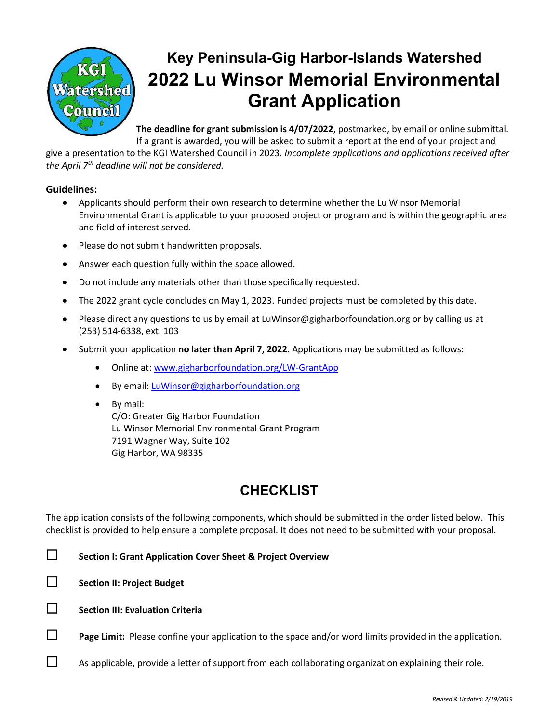

# **Key Peninsula-Gig Harbor-Islands Watershed 2022 Lu Winsor Memorial Environmental Grant Application**

**The deadline for grant submission is 4/07/2022**, postmarked, by email or online submittal. If a grant is awarded, you will be asked to submit a report at the end of your project and

give a presentation to the KGI Watershed Council in 2023. *Incomplete applications and applications received after the April 7th deadline will not be considered.*

#### **Guidelines:**

- Applicants should perform their own research to determine whether the Lu Winsor Memorial Environmental Grant is applicable to your proposed project or program and is within the geographic area and field of interest served.
- Please do not submit handwritten proposals.
- Answer each question fully within the space allowed.
- Do not include any materials other than those specifically requested.
- The 2022 grant cycle concludes on May 1, 2023. Funded projects must be completed by this date.
- Please direct any questions to us by email at LuWinsor@gigharborfoundation.org or by calling us at (253) 514-6338, ext. 103
- Submit your application **no later than April 7, 2022**. Applications may be submitted as follows:
	- Online at: [www.gigharborfoundation.org/LW-GrantApp](http://www.gigharborfoundation.org/LW-GrantApp)
	- By email: [LuWinsor@gigharborfoundation.org](mailto:LuWinsor@gigharborfoundation.org)
	- By mail: C/O: Greater Gig Harbor Foundation Lu Winsor Memorial Environmental Grant Program 7191 Wagner Way, Suite 102 Gig Harbor, WA 98335

# **CHECKLIST**

The application consists of the following components, which should be submitted in the order listed below. This checklist is provided to help ensure a complete proposal. It does not need to be submitted with your proposal.

**Section I: Grant Application Cover Sheet & Project Overview**

**Section II: Project Budget**

- **Section III: Evaluation Criteria**
- **Page Limit:** Please confine your application to the space and/or word limits provided in the application.
- $\Box$  As applicable, provide a letter of support from each collaborating organization explaining their role.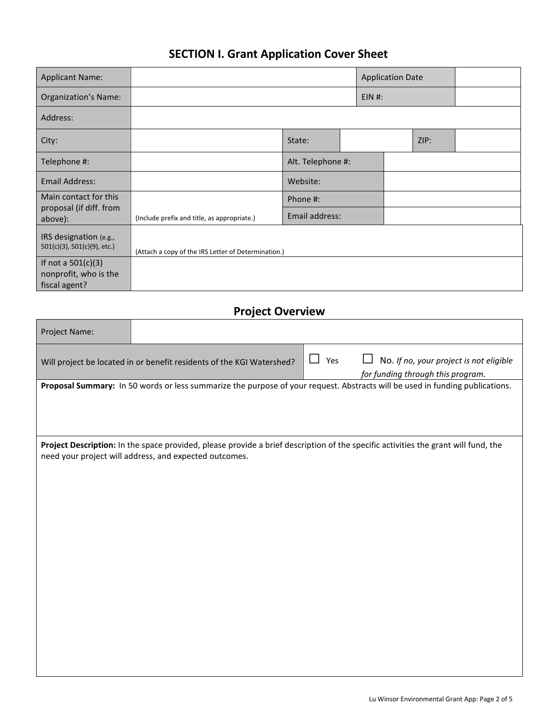# **SECTION I. Grant Application Cover Sheet**

| <b>Applicant Name:</b>                                         |                                                     |                   |  | <b>Application Date</b> |      |  |
|----------------------------------------------------------------|-----------------------------------------------------|-------------------|--|-------------------------|------|--|
| <b>Organization's Name:</b>                                    |                                                     |                   |  | $EIN$ #:                |      |  |
| Address:                                                       |                                                     |                   |  |                         |      |  |
| City:                                                          |                                                     | State:            |  |                         | ZIP: |  |
| Telephone #:                                                   |                                                     | Alt. Telephone #: |  |                         |      |  |
| <b>Email Address:</b>                                          |                                                     | Website:          |  |                         |      |  |
| Main contact for this                                          |                                                     | Phone #:          |  |                         |      |  |
| proposal (if diff. from<br>above):                             | (Include prefix and title, as appropriate.)         | Email address:    |  |                         |      |  |
| IRS designation (e.g.,<br>501(c)(3), 501(c)(9), etc.)          | (Attach a copy of the IRS Letter of Determination.) |                   |  |                         |      |  |
| If not a $501(c)(3)$<br>nonprofit, who is the<br>fiscal agent? |                                                     |                   |  |                         |      |  |

## **Project Overview**

| Project Name:                                                                                                                |                                                                       |  |            |                                                                                                                                    |  |
|------------------------------------------------------------------------------------------------------------------------------|-----------------------------------------------------------------------|--|------------|------------------------------------------------------------------------------------------------------------------------------------|--|
|                                                                                                                              | Will project be located in or benefit residents of the KGI Watershed? |  | $\Box$ Yes | No. If no, your project is not eligible<br>for funding through this program.                                                       |  |
| Proposal Summary: In 50 words or less summarize the purpose of your request. Abstracts will be used in funding publications. |                                                                       |  |            |                                                                                                                                    |  |
|                                                                                                                              |                                                                       |  |            |                                                                                                                                    |  |
|                                                                                                                              |                                                                       |  |            |                                                                                                                                    |  |
|                                                                                                                              |                                                                       |  |            |                                                                                                                                    |  |
|                                                                                                                              | need your project will address, and expected outcomes.                |  |            | Project Description: In the space provided, please provide a brief description of the specific activities the grant will fund, the |  |
|                                                                                                                              |                                                                       |  |            |                                                                                                                                    |  |
|                                                                                                                              |                                                                       |  |            |                                                                                                                                    |  |
|                                                                                                                              |                                                                       |  |            |                                                                                                                                    |  |
|                                                                                                                              |                                                                       |  |            |                                                                                                                                    |  |
|                                                                                                                              |                                                                       |  |            |                                                                                                                                    |  |
|                                                                                                                              |                                                                       |  |            |                                                                                                                                    |  |
|                                                                                                                              |                                                                       |  |            |                                                                                                                                    |  |
|                                                                                                                              |                                                                       |  |            |                                                                                                                                    |  |
|                                                                                                                              |                                                                       |  |            |                                                                                                                                    |  |
|                                                                                                                              |                                                                       |  |            |                                                                                                                                    |  |
|                                                                                                                              |                                                                       |  |            |                                                                                                                                    |  |
|                                                                                                                              |                                                                       |  |            |                                                                                                                                    |  |
|                                                                                                                              |                                                                       |  |            |                                                                                                                                    |  |
|                                                                                                                              |                                                                       |  |            |                                                                                                                                    |  |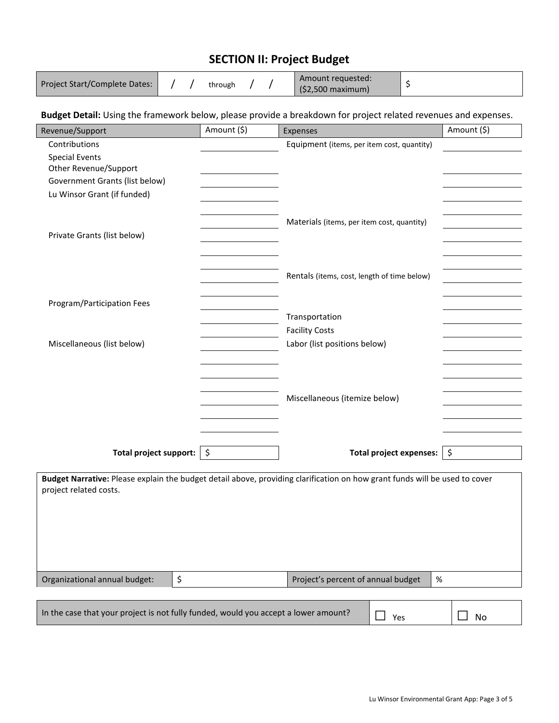## **SECTION II: Project Budget**

| Project Start/Complete Dates: |  |  | through |  |  | Amount requested:<br>$(52,500$ maximum) |  |
|-------------------------------|--|--|---------|--|--|-----------------------------------------|--|
|-------------------------------|--|--|---------|--|--|-----------------------------------------|--|

#### **Budget Detail:** Using the framework below, please provide a breakdown for project related revenues and expenses.

| Revenue/Support                                                                                                                                      | Amount (\$) | Expenses                                    | Amount (\$)         |  |  |
|------------------------------------------------------------------------------------------------------------------------------------------------------|-------------|---------------------------------------------|---------------------|--|--|
| Contributions                                                                                                                                        |             | Equipment (items, per item cost, quantity)  |                     |  |  |
| <b>Special Events</b>                                                                                                                                |             |                                             |                     |  |  |
| Other Revenue/Support                                                                                                                                |             |                                             |                     |  |  |
| Government Grants (list below)                                                                                                                       |             |                                             |                     |  |  |
| Lu Winsor Grant (if funded)                                                                                                                          |             |                                             |                     |  |  |
|                                                                                                                                                      |             |                                             |                     |  |  |
|                                                                                                                                                      |             | Materials (items, per item cost, quantity)  |                     |  |  |
| Private Grants (list below)                                                                                                                          |             |                                             |                     |  |  |
|                                                                                                                                                      |             |                                             |                     |  |  |
|                                                                                                                                                      |             |                                             |                     |  |  |
|                                                                                                                                                      |             | Rentals (items, cost, length of time below) |                     |  |  |
|                                                                                                                                                      |             |                                             |                     |  |  |
| Program/Participation Fees                                                                                                                           |             |                                             |                     |  |  |
|                                                                                                                                                      |             | Transportation                              |                     |  |  |
|                                                                                                                                                      |             | <b>Facility Costs</b>                       |                     |  |  |
| Miscellaneous (list below)                                                                                                                           |             | Labor (list positions below)                |                     |  |  |
|                                                                                                                                                      |             |                                             |                     |  |  |
|                                                                                                                                                      |             |                                             |                     |  |  |
|                                                                                                                                                      |             |                                             |                     |  |  |
|                                                                                                                                                      |             | Miscellaneous (itemize below)               |                     |  |  |
|                                                                                                                                                      |             |                                             |                     |  |  |
|                                                                                                                                                      |             |                                             |                     |  |  |
|                                                                                                                                                      |             |                                             |                     |  |  |
|                                                                                                                                                      |             |                                             |                     |  |  |
| Total project support: $\frac{1}{2}$                                                                                                                 |             | Total project expenses:                     | $\ddot{\bm{\zeta}}$ |  |  |
| Budget Narrative: Please explain the budget detail above, providing clarification on how grant funds will be used to cover<br>project related costs. |             |                                             |                     |  |  |
|                                                                                                                                                      |             |                                             |                     |  |  |
|                                                                                                                                                      |             |                                             |                     |  |  |
|                                                                                                                                                      |             |                                             |                     |  |  |
|                                                                                                                                                      |             |                                             |                     |  |  |
|                                                                                                                                                      |             |                                             |                     |  |  |
|                                                                                                                                                      |             |                                             |                     |  |  |
| \$<br>Organizational annual budget:                                                                                                                  |             | Project's percent of annual budget<br>$\%$  |                     |  |  |
|                                                                                                                                                      |             |                                             |                     |  |  |
| In the case that your project is not fully funded, would you accept a lower amount?                                                                  |             | $\blacksquare$<br>Yes                       | No                  |  |  |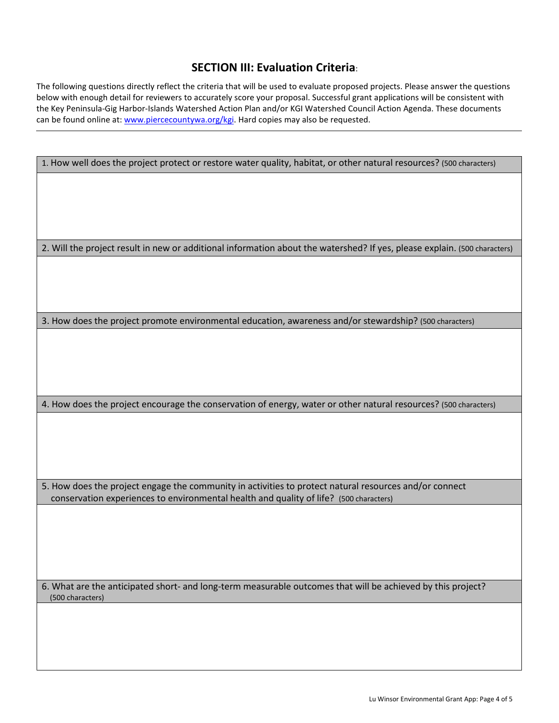#### **SECTION III: Evaluation Criteria**:

The following questions directly reflect the criteria that will be used to evaluate proposed projects. Please answer the questions below with enough detail for reviewers to accurately score your proposal. Successful grant applications will be consistent with the Key Peninsula-Gig Harbor-Islands Watershed Action Plan and/or KGI Watershed Council Action Agenda. These documents can be found online at: [www.piercecountywa.org/kgi. H](http://www.piercecountywa.org/kgi)ard copies may also be requested.

| 1. How well does the project protect or restore water quality, habitat, or other natural resources? (500 characters)      |
|---------------------------------------------------------------------------------------------------------------------------|
|                                                                                                                           |
|                                                                                                                           |
|                                                                                                                           |
|                                                                                                                           |
| 2. Will the project result in new or additional information about the watershed? If yes, please explain. (500 characters) |
|                                                                                                                           |
|                                                                                                                           |
| 3. How does the project promote environmental education, awareness and/or stewardship? (500 characters)                   |
|                                                                                                                           |
|                                                                                                                           |
|                                                                                                                           |
|                                                                                                                           |
| 4. How does the project encourage the conservation of energy, water or other natural resources? (500 characters)          |
|                                                                                                                           |
|                                                                                                                           |
|                                                                                                                           |
| 5. How does the project engage the community in activities to protect natural resources and/or connect                    |
| conservation experiences to environmental health and quality of life? (500 characters)                                    |
|                                                                                                                           |
|                                                                                                                           |
|                                                                                                                           |
| 6. What are the anticipated short- and long-term measurable outcomes that will be achieved by this project?               |
| (500 characters)                                                                                                          |
|                                                                                                                           |
|                                                                                                                           |
|                                                                                                                           |